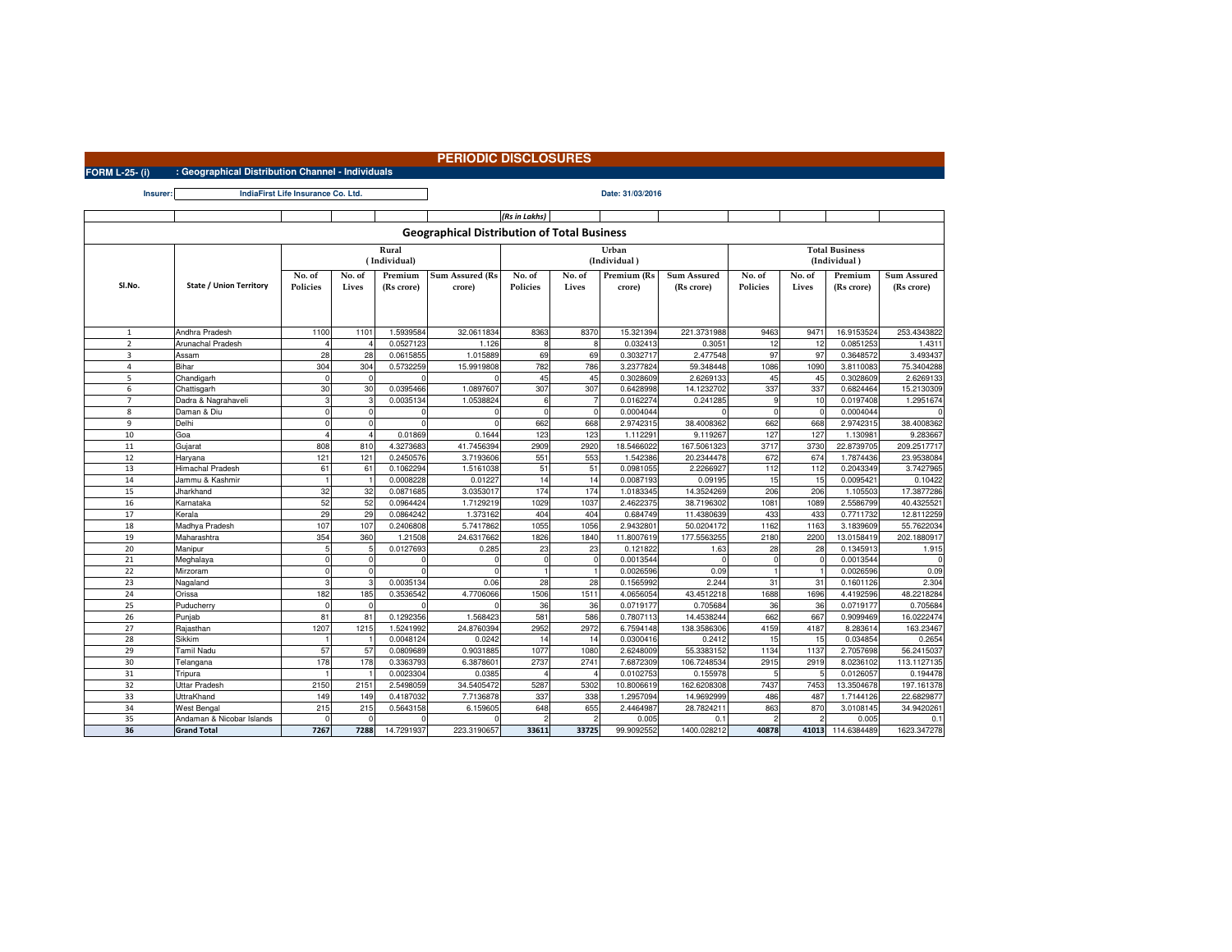## **PERIODIC DISCLOSURES**

**FORM L-25- (i) : Geographical Distribution Channel - IndividualsInsurer:**

 $\blacksquare$ 

**Date: 31/03/2016IndiaFirst Life Insurance Co. Ltd.**

|                                                    |                                |                             |          |            |                        | (Rs in Lakhs) |              |                            |             |                                       |        |             |             |
|----------------------------------------------------|--------------------------------|-----------------------------|----------|------------|------------------------|---------------|--------------|----------------------------|-------------|---------------------------------------|--------|-------------|-------------|
| <b>Geographical Distribution of Total Business</b> |                                |                             |          |            |                        |               |              |                            |             |                                       |        |             |             |
|                                                    |                                | Rural<br>(Individual)       |          |            |                        |               |              | Urban<br>(Individual)      |             | <b>Total Business</b><br>(Individual) |        |             |             |
|                                                    |                                | No. of<br>No. of<br>Premium |          |            | <b>Sum Assured (Rs</b> | No. of        | No. of       | Premium (Rs<br>Sum Assured |             | No. of                                | No. of | Premium     | Sum Assured |
| Sl.No.                                             | <b>State / Union Territory</b> | Policies                    | Lives    | (Rs crore) | crore)                 | Policies      | Lives        | crore)                     | (Rs crore)  | Policies                              | Lives  | (Rs crore)  | (Rs crore)  |
|                                                    |                                |                             |          |            |                        |               |              |                            |             |                                       |        |             |             |
|                                                    |                                |                             |          |            |                        |               |              |                            |             |                                       |        |             |             |
|                                                    |                                |                             |          |            |                        |               |              |                            |             |                                       |        |             |             |
| $\overline{1}$                                     | Andhra Pradesh                 | 1100                        | 1101     | 1.5939584  | 32.0611834             | 8363          | 8370         | 15.321394                  | 221.3731988 | 9463                                  | 947    | 16.9153524  | 253.4343822 |
| $\overline{2}$                                     | Arunachal Pradesh              |                             |          | 0.0527123  | 1.126                  | 8             | $\mathbf{R}$ | 0.032413                   | 0.305       | 12                                    | 12     | 0.0851253   | 1.4311      |
| 3                                                  | Assam                          | 28                          | 28       | 0.0615855  | 1.015889               | 69            | 69           | 0.3032717                  | 2.477548    | 97                                    | 97     | 0.3648572   | 3.493437    |
| $\overline{4}$                                     | Bihar                          | 304                         | 304      | 0.5732259  | 15.9919808             | 782           | 786          | 3.2377824                  | 59.348448   | 1086                                  | 1090   | 3.8110083   | 75.3404288  |
| 5                                                  | Chandigarh                     | $\Omega$                    |          |            |                        | 45            | 45           | 0.3028609                  | 2.6269133   | 45                                    | 45     | 0.3028609   | 2.6269133   |
| 6                                                  | Chattisgarh                    | 30                          | 30       | 0.0395466  | 1.0897607              | 307           | 307          | 0.6428998                  | 14.1232702  | 337                                   | 337    | 0.6824464   | 15.2130309  |
| $\overline{7}$                                     | Dadra & Nagrahaveli            | 3                           |          | 0.0035134  | 1.0538824              | 6             |              | 0.0162274                  | 0.241285    |                                       | 10     | 0.0197408   | 1.2951674   |
| 8                                                  | Daman & Diu                    | $\Omega$                    | $\Omega$ | $\Omega$   |                        | $\Omega$      | $\Omega$     | 0.0004044                  |             | $\Omega$                              |        | 0.0004044   |             |
| $\overline{9}$                                     | Delhi                          | $\Omega$                    |          |            |                        | 662           | 668          | 2.9742315                  | 38.400836   | 662                                   | 668    | 2.9742315   | 38.4008362  |
| 10                                                 | Goa                            |                             |          | 0.01869    | 0.1644                 | 123           | 123          | 1.11229                    | 9.11926     | 127                                   | 127    | 1.130981    | 9.283667    |
| 11                                                 | Gujarat                        | 808                         | 810      | 4.3273683  | 41.7456394             | 2909          | 2920         | 18.5466022                 | 167.5061323 | 3717                                  | 3730   | 22.8739705  | 209.2517717 |
| 12                                                 | Haryana                        | 121                         | 121      | 0.2450576  | 3.7193606              | 551           | 553          | 1.542386                   | 20.2344478  | 672                                   | 674    | 1.7874436   | 23.9538084  |
| 13                                                 | Himachal Pradesh               | 61                          | 61       | 0.1062294  | 1.5161038              | 51            | 51           | 0.0981055                  | 2.226692    | 112                                   | 112    | 0.2043349   | 3.7427965   |
| 14                                                 | Jammu & Kashmir                |                             |          | 0.0008228  | 0.01227                | 14            | 14           | 0.0087193                  | 0.09195     | 15                                    | 15     | 0.0095421   | 0.10422     |
| 15                                                 | Jharkhand                      | 32                          | 32       | 0.0871685  | 3.0353017              | 174           | 174          | 1.0183345                  | 14.3524269  | 206                                   | 206    | 1.105503    | 17.3877286  |
| 16                                                 | Karnataka                      | 52                          | 52       | 0.0964424  | 1.7129219              | 1029          | 1037         | 2.4622375                  | 38.7196302  | 108                                   | 1089   | 2.5586799   | 40.4325521  |
| 17                                                 | Kerala                         | 29                          | 29       | 0.0864242  | 1.373162               | 404           | 404          | 0.684749                   | 11.438063   | 433                                   | 433    | 0.7711732   | 12.8112259  |
| 18                                                 | Madhya Pradesh                 | 107                         | 107      | 0.2406808  | 5.7417862              | 1055          | 1056         | 2.9432801                  | 50.0204172  | 1162                                  | 1163   | 3.1839609   | 55.7622034  |
| 19                                                 | Maharashtra                    | 354                         | 360      | 1.21508    | 24.6317662             | 1826          | 1840         | 11.8007619                 | 177.5563255 | 2180                                  | 220    | 13.0158419  | 202.1880917 |
| 20                                                 | Manipur                        | 5                           |          | 0.0127693  | 0.285                  | 23            | 23           | 0.121822                   | 1.63        | 28                                    | 28     | 0.1345913   | 1.915       |
| 21                                                 | Meghalaya                      | $\Omega$                    |          |            |                        |               | $\Omega$     | 0.001354                   |             |                                       |        | 0.0013544   |             |
| 22                                                 | Mirzoram                       | $\Omega$                    |          |            | $\mathsf{C}$           |               |              | 0.0026596                  | 0.09        |                                       |        | 0.0026596   | 0.09        |
| 23                                                 | Nagaland                       | 3                           |          | 0.0035134  | 0.06                   | 28            | 28           | 0.1565992                  | 2.244       | 31                                    | 31     | 0.1601126   | 2.304       |
| 24                                                 | Orissa                         | 182                         | 185      | 0.3536542  | 4.7706066              | 1506          | 1511         | 4.0656054                  | 43.4512218  | 1688                                  | 1696   | 4.4192596   | 48.2218284  |
| 25                                                 | Puducherry                     |                             |          |            |                        | 36            | 36           | 0.0719177                  | 0.70568     | 36                                    | 36     | 0.0719177   | 0.705684    |
| 26                                                 | Punjab                         | 81                          | 81       | 0.1292356  | 1.568423               | 581           | 586          | 0.7807113                  | 14.4538244  | 662                                   | 667    | 0.9099469   | 16.0222474  |
| 27                                                 | Rajasthan                      | 1207                        | 1215     | 1.5241992  | 24.8760394             | 2952          | 2972         | 6.7594148                  | 138.3586306 | 4159                                  | 4187   | 8.283614    | 163.23467   |
| 28                                                 | Sikkim                         |                             |          | 0.0048124  | 0.0242                 | 14            | 14           | 0.0300416                  | 0.2412      | 15                                    | 15     | 0.034854    | 0.2654      |
| 29                                                 | Tamil Nadu                     | 57                          | 57       | 0.0809689  | 0.9031885              | 1077          | 1080         | 2.6248009                  | 55.3383152  | 1134                                  | 1137   | 2.7057698   | 56.2415037  |
| 30                                                 | Telangana                      | 178                         | 178      | 0.3363793  | 6.3878601              | 2737          | 2741         | 7.6872309                  | 106.7248534 | 2915                                  | 2919   | 8.0236102   | 113.1127135 |
| 31                                                 | Tripura                        |                             |          | 0.0023304  | 0.0385                 |               |              | 0.0102753                  | 0.155978    |                                       |        | 0.0126057   | 0.194478    |
| 32                                                 | Uttar Pradesh                  | 2150                        | 2151     | 2.5498059  | 34.5405472             | 5287          | 5302         | 10.8006619                 | 162.6208308 | 7437                                  | 7453   | 13.3504678  | 197.161378  |
| 33                                                 | UttraKhand                     | 149                         | 149      | 0.4187032  | 7.7136878              | 337           | 338          | 1.2957094                  | 14.969299   | 486                                   | 487    | 1.7144126   | 22.6829877  |
| 34                                                 | West Bengal                    | 215                         | 215      | 0.5643158  | 6.159605               | 648           | 655          | 2.4464987                  | 28.782421   | 863                                   | 870    | 3.0108145   | 34.9420261  |
| 35                                                 | Andaman & Nicobar Islands      | $\Omega$                    | $\Omega$ | n          |                        |               |              | 0.005                      | 0.1         |                                       |        | 0.005       | 0.1         |
| 36                                                 | <b>Grand Total</b>             | 7267                        | 7288     | 14.7291937 | 223.3190657            | 33611         | 33725        | 99.9092552                 | 1400.028212 | 40878                                 | 41013  | 114.6384489 | 1623.347278 |